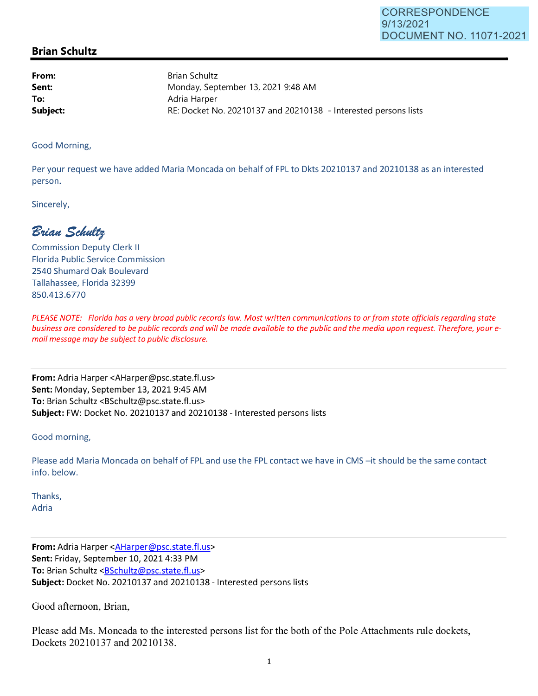## **Brian Schultz**

**From: Sent: To:**  Brian Schultz Monday, September 13, 2021 9:48 **AM**  Adria Harper **Subject: RE: Docket No. 20210137 and 20210138 - Interested persons lists** 

Good Morning,

Per your request we have added Maria Moncada on behalf of FPL to Dkts 20210137 and 20210138 as an interested person.

Sincerely,

 $B$ rian Schultz

Commission Deputy Clerk II Florida Public Service Commission 2540 Shumard Oak Boulevard Tallahassee, Florida 32399 850.413.6770

PLEASE NOTE: Florida has a very broad public records law. Most written communications to or from state officials regarding state business are considered to be public records and will be made available to the public and the media upon request. Therefore, your email message may be subject to public disclosure.

**From:** Adria Harper <AHarper@psc.state.fl.us> **Sent:** Monday, September 13, 2021 9:45 AM **To:** Brian Schultz <BSchultz@psc.state.fl.us> **Subject:** FW: Docket No. 20210137 and 20210138 - Interested persons lists

Good morning,

Please add Maria Moncada on behalf of FPL and use the FPL contact we have in CMS -it should be the same contact info. below.

Thanks, Adria

**From:** Adria Harper <AHarper@psc.state.fl.us> **Sent:** Friday, September 10, 2021 4:33 PM To: Brian Schultz <BSchultz@psc.state.fl.us> **Subject:** Docket No. 20210137 and 20210138 - Interested persons lists

Good afternoon, Brian,

Please add Ms. Moncada to the interested persons list for the both of the Pole Attachments rule dockets, Dockets 20210137 and 20210138.